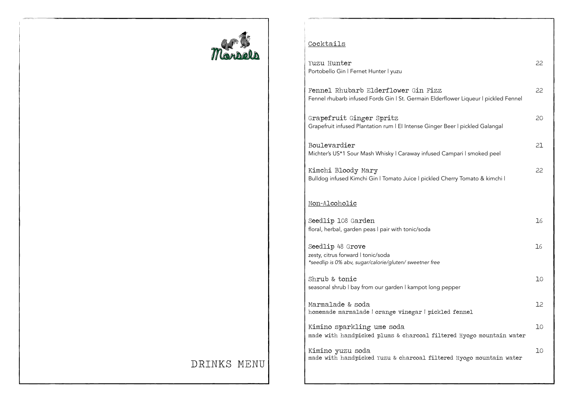

## **Cocktails**

| Yuzu Hunter<br>Portobello Gin   Fernet Hunter   yuzu                                                                       | 22  |
|----------------------------------------------------------------------------------------------------------------------------|-----|
| Fennel Rhubarb Elderflower Gin Fizz<br>Fennel rhubarb infused Fords Gin   St. Germain Elderflower Liqueur   pickled Fennel | 22  |
| Grapefruit Ginger Spritz<br>Grapefruit infused Plantation rum   El Intense Ginger Beer   pickled Galangal                  | 20  |
| Boulevardier<br>Michter's US*1 Sour Mash Whisky   Caraway infused Campari   smoked peel                                    | 21  |
| Kimchi Bloody Mary<br>Bulldog infused Kimchi Gin   Tomato Juice   pickled Cherry Tomato & kimchi                           | 22. |
| Non-Alcoholic                                                                                                              |     |
| Seedlip 108 Garden<br>floral, herbal, garden peas I pair with tonic/soda                                                   | 16  |
| Seedlip 48 Grove<br>zesty, citrus forward I tonic/soda<br>*seedlip is 0% abv, sugar/calorie/gluten/ sweetner free          | 16  |
| Shrub & tonic<br>seasonal shrub I bay from our garden I kampot long pepper                                                 | 10  |
| Marmalade & soda<br>homemade marmalade   orange vinegar   pickled fennel                                                   | 12  |
| Kimino sparkling ume soda<br>made with handpicked plums & charcoal filtered Hyogo mountain water                           | 10  |
| Kimino yuzu soda<br>made with handpicked Yuzu & charcoal filtered Hyogo mountain water                                     | 10  |

## DRINKS MENU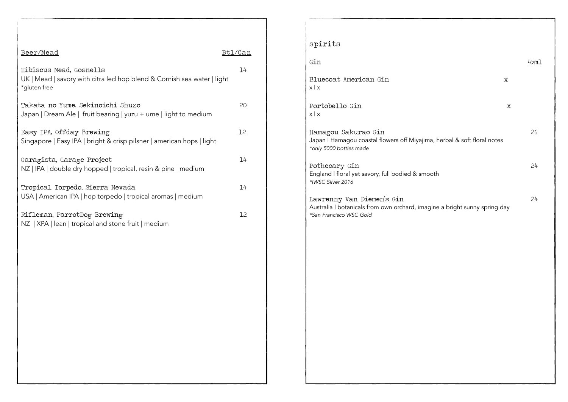| Beer/Mead                                                                                                          | Btl/Can |
|--------------------------------------------------------------------------------------------------------------------|---------|
| Hibiscus Mead, Gosnells<br>UK   Mead   savory with citra led hop blend & Cornish sea water   light<br>*gluten free | 14      |
| Takata no Yume, Sekinoichi Shuzo<br>Japan   Dream Ale   fruit bearing   yuzu + ume   light to medium               | 20      |
| Easy IPA, Offday Brewing<br>Singapore   Easy IPA   bright & crisp pilsner   american hops   light                  | 12      |
| Garagista, Garage Project<br>NZ   IPA   double dry hopped   tropical, resin & pine   medium                        | 14      |
| Tropical Torpedo, Sierra Nevada<br>USA   American IPA   hop torpedo   tropical aromas   medium                     | 14      |
| Rifleman, ParrotDog Brewing<br>NZ   XPA   lean   tropical and stone fruit   medium                                 | 12      |
|                                                                                                                    |         |
|                                                                                                                    |         |
|                                                                                                                    |         |
|                                                                                                                    |         |
|                                                                                                                    |         |
|                                                                                                                    |         |

| . . | . . |
|-----|-----|
|     |     |
|     |     |

| $G$ in                                                                                                                             |   | 45ml |
|------------------------------------------------------------------------------------------------------------------------------------|---|------|
| Bluecoat American Gin<br>x   x                                                                                                     | X |      |
| Portobello Gin<br>x   x                                                                                                            | X |      |
| Hamagou Sakurao Gin<br>Japan   Hamagou coastal flowers off Miyajima, herbal & soft floral notes<br>*only 5000 bottles made         |   | 26   |
| Pothecary Gin<br>England I floral yet savory, full bodied & smooth<br>*IWSC Silver 2016                                            |   | 24   |
| Lawrenny Van Diemen's Gin<br>Australia I botanicals from own orchard, imagine a bright sunny spring day<br>*San Francisco WSC Gold |   | 24   |
|                                                                                                                                    |   |      |
|                                                                                                                                    |   |      |
|                                                                                                                                    |   |      |
|                                                                                                                                    |   |      |
|                                                                                                                                    |   |      |
|                                                                                                                                    |   |      |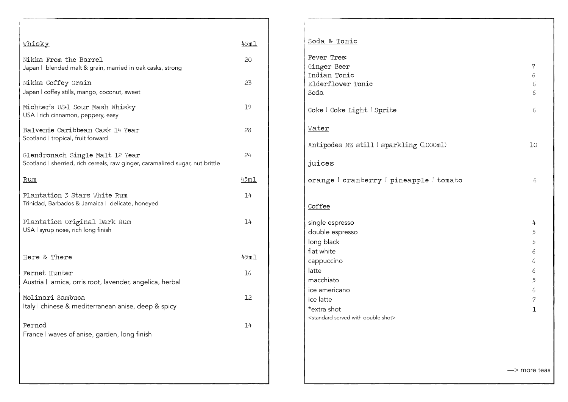| Whisky                                                                                                           | 45ml |
|------------------------------------------------------------------------------------------------------------------|------|
| Nikka From the Barrel<br>Japan   blended malt & grain, married in oak casks, strong                              | 20   |
| Nikka Coffey Grain<br>Japan I coffey stills, mango, coconut, sweet                                               | 23   |
| Michter's US*1 Sour Mash Whisky<br>USA I rich cinnamon, peppery, easy                                            | 19   |
| Balvenie Caribbean Cask 14 Year<br>Scotland I tropical, fruit forward                                            | 28   |
| Glendronach Single Malt 12 Year<br>Scotland I sherried, rich cereals, raw ginger, caramalized sugar, nut brittle | 24   |
| <u>Rum</u>                                                                                                       | 45ml |
| Plantation 3 Stars White Rum<br>Trinidad, Barbados & Jamaica   delicate, honeyed                                 | 14   |
| Plantation Original Dark Rum<br>USA I syrup nose, rich long finish                                               | 14   |
| Here & There                                                                                                     | 45ml |
| Fernet Hunter<br>Austria   arnica, orris root, lavender, angelica, herbal                                        | 16   |
| Molinari Sambuca<br>Italy I chinese & mediterranean anise, deep & spicy                                          | 12   |
| Pernod<br>France I waves of anise, garden, long finish                                                           | 14   |
|                                                                                                                  |      |

| 7<br>6<br>6<br>6                                            |
|-------------------------------------------------------------|
| 6                                                           |
|                                                             |
| 10                                                          |
|                                                             |
| 6                                                           |
|                                                             |
| 4<br>5<br>5<br>6<br>6<br>6<br>5<br>6<br>$\overline{7}$<br>ı |
|                                                             |

—> more teas